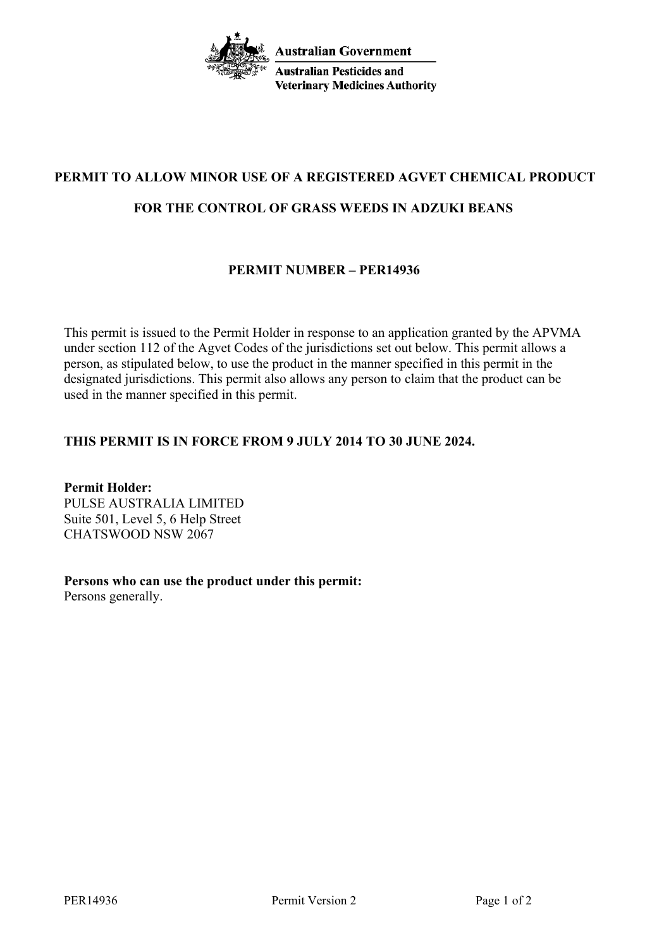

# **PERMIT TO ALLOW MINOR USE OF A REGISTERED AGVET CHEMICAL PRODUCT**

#### **FOR THE CONTROL OF GRASS WEEDS IN ADZUKI BEANS**

### **PERMIT NUMBER – PER14936**

This permit is issued to the Permit Holder in response to an application granted by the APVMA under section 112 of the Agvet Codes of the jurisdictions set out below. This permit allows a person, as stipulated below, to use the product in the manner specified in this permit in the designated jurisdictions. This permit also allows any person to claim that the product can be used in the manner specified in this permit.

### **THIS PERMIT IS IN FORCE FROM 9 JULY 2014 TO 30 JUNE 2024.**

**Permit Holder:** PULSE AUSTRALIA LIMITED Suite 501, Level 5, 6 Help Street CHATSWOOD NSW 2067

**Persons who can use the product under this permit:** Persons generally.